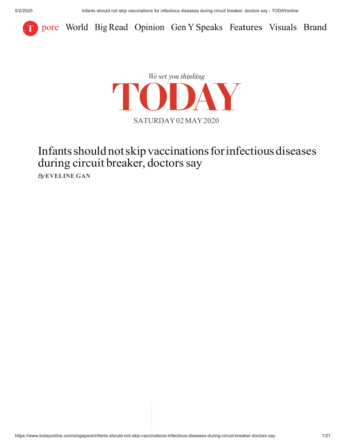



## Infants should not skip vaccinations for infectious diseases during circuit breaker, doctors say

*By* **EVELINE GAN**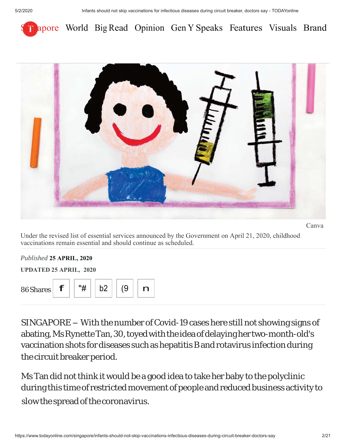



Under the revised list of essential services announced by the Government on April 21, 2020, childhood vaccinations remain essential and should continue as scheduled.

| Published 25 APRIL, 2020      |    |    |    |   |
|-------------------------------|----|----|----|---|
| <b>UPDATED 25 APRIL, 2020</b> |    |    |    |   |
|                               |    |    |    |   |
| f                             | "# | b2 | (9 | n |
|                               |    |    |    |   |

SINGAPORE - With the number of Covid-19 cases here still not showing signs of abating, Ms Rynette Tan, 30, toyed with the idea of delaying her two-month-old's vaccination shots for diseases such as hepatitis B and rotavirus infection during the circuit breaker period.

Ms Tan did not think it would be a good idea to take her baby to the polyclinic during this time of restricted movement of people and reduced business activity to slow the spread of the coronavirus.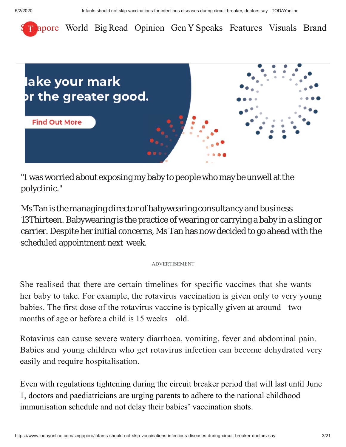



"I was worried about exposing my baby to people who may be unwell at the polyclinic."

Ms Tan is the managing director of babywearing consultancy and business 13Thirteen. Babywearing is the practice of wearing or carrying a baby in a sling or carrier. Despite her initial concerns, Ms Tan has now decided to go ahead with the scheduled appointment next week.

#### ADVERTISEMENT

She realised that there are certain timelines for specific vaccines that she wants her baby to take. For example, the rotavirus vaccination is given only to very young babies. The first dose of the rotavirus vaccine is typically given at around two months of age or before a child is 15 weeks old.

Rotavirus can cause severe watery diarrhoea, vomiting, fever and abdominal pain. Babies and young children who get rotavirus infection can become dehydrated very easily and require hospitalisation.

Even with regulations tightening during the circuit breaker period that will last until June 1, doctors and paediatricians are urging parents to adhere to the national childhood immunisation schedule and not delay their babies' vaccination shots.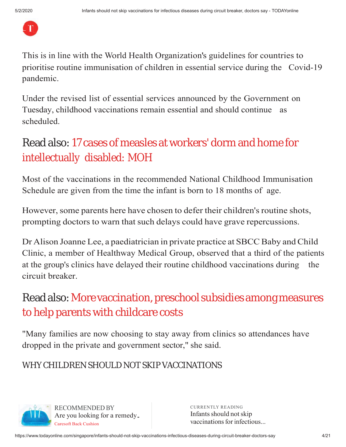

prioritise routine immunisation of children in essential service during the Covid-19 pandemic. This is in line with the World Health Organization's guidelines for countries to

Under the revised list of essential services announced by the Government on Tuesday, childhood vaccinations remain essential and should continue as scheduled.

# Read also: 17 cases of measles at workers' dorm and home for intellectually disabled: MOH

Most of the vaccinations in the recommended National Childhood Immunisation Schedule are given from the time the infant is born to 18 months of age.

However, some parents here have chosen to defer their children's routine shots, prompting doctors to warn that such delays could have grave repercussions.

Dr Alison Joanne Lee, a paediatrician in private practice at SBCC Baby and Child Clinic, a member of Healthway Medical Group, observed that a third of the patients at the group's clinics have delayed their routine childhood vaccinations during the circuit breaker.

# Read also: More vaccination, preschool subsidies among measures to help parents with childcare costs

"Many families are now choosing to stay away from clinics so attendances have dropped in the private and government sector," she said.

### WHY CHILDREN SHOULD NOT SKIP VACCINATIONS



FACE RECOMMENDED BY<br>Are you looking for a remedy. Infants should not RECOMMENDED BY Caresoft Back Cushion

CURRENTLY READING Infants should not skip vaccinations for infectious...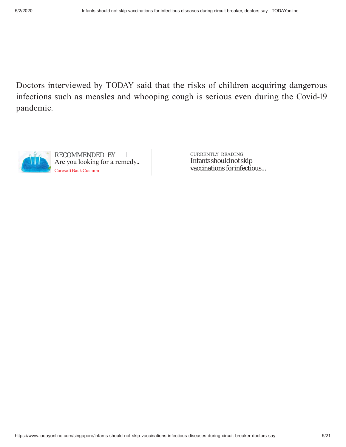Doctors interviewed by TODAY said that the risks of children acquiring dangerous infections such as measles and whooping cough is serious even during the Covid-19 pandemic.



Infants should not skip vaccinations for infectious...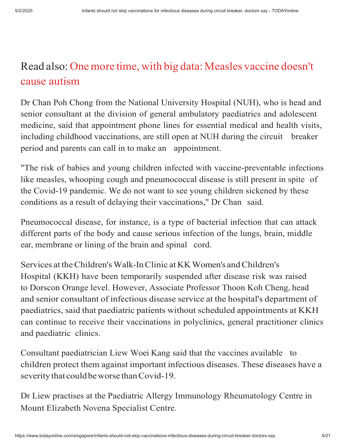# Read also: One more time, with big data: Measles vaccine doesn't cause autism

Dr Chan Poh Chong from the National University Hospital (NUH), who is head and senior consultant at the division of general ambulatory paediatrics and adolescent medicine, said that appointment phone lines for essential medical and health visits, including childhood vaccinations, are still open at NUH during the circuit breaker period and parents can call in to make an appointment.

"The risk of babies and young children infected with vaccine-preventable infections like measles, whooping cough and pneumococcal disease is still present in spite of the Covid-19 pandemic. We do not want to see young children sickened by these conditions as a result of delaying their vaccinations," Dr Chan said.

Pneumococcal disease, for instance, is a type of bacterial infection that can attack different parts of the body and cause serious infection of the lungs, brain, middle ear, membrane or lining of the brain and spinal cord.

Services at the Children's Walk-In Clinic at KK Women's and Children's Hospital (KKH) have been temporarily suspended after disease risk was raised to Dorscon Orange level. However, Associate Professor Thoon Koh Cheng, head and senior consultant of infectious disease service at the hospital's department of paediatrics, said that paediatric patients without scheduled appointments at KKH can continue to receive their vaccinations in polyclinics, general practitioner clinics and paediatric clinics.

Consultant paediatrician Liew Woei Kang said that the vaccines available to children protect them against important infectious diseases. These diseases have a severity that could be worse than Covid-19.

Mount Elizabeth Novena Specialist Centre. Dr Liew practises at the Paediatric Allergy Immunology Rheumatology Centre in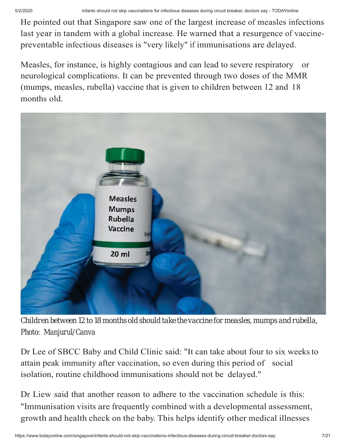He pointed out that Singapore saw one of the largest increase of measles infections last year in tandem with a global increase. He warned that a resurgence of vaccinepreventable infectious diseases is "very likely" if immunisations are delayed.

Measles, for instance, is highly contagious and can lead to severe respiratory or neurological complications. It can be prevented through two doses of the MMR (mumps, measles, rubella) vaccine that is given to children between 12 and 18 months old.



*Children between 12 to 18 months old should take the vaccine for measles, mumps and rubella, Photo: Manjurul/Canva*

Dr Lee of SBCC Baby and Child Clinic said: "It can take about four to six weeks to attain peak immunity after vaccination, so even during this period of social isolation, routine childhood immunisations should not be delayed."

"Immunisation visits are frequently combined with a developmental assessment, growth and health check on the baby. This helps identify other medical illnesses Dr Liew said that another reason to adhere to the vaccination schedule is this: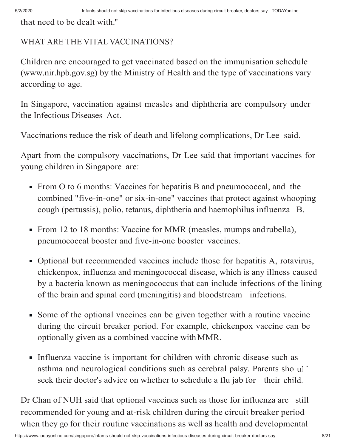that need to be dealt with."

#### WHAT ARE THE VITAL VACCINATIONS?

Children are encouraged to get vaccinated based on the immunisation schedule (www.nir.hpb.gov.sg) by the Ministry of Health and the type of vaccinations vary according to age.

In Singapore, vaccination against measles and diphtheria are compulsory under the Infectious Diseases Act.

Vaccinations reduce the risk of death and lifelong complications, Dr Lee said.

Apart from the compulsory vaccinations, Dr Lee said that important vaccines for young children in Singapore are:

- From O to 6 months: Vaccines for hepatitis B and pneumococcal, and the combined "five-in-one" or six-in-one" vaccines that protect against whooping cough (pertussis), polio, tetanus, diphtheria and haemophilus influenza B.
- From 12 to 18 months: Vaccine for MMR (measles, mumps and rubella), pneumococcal booster and five-in-one booster vaccines.
- Optional but recommended vaccines include those for hepatitis A, rotavirus, chickenpox, influenza and meningococcal disease, which is any illness caused by a bacteria known as meningococcus that can include infections of the lining of the brain and spinal cord (meningitis) and bloodstream infections.
- Some of the optional vaccines can be given together with a routine vaccine during the circuit breaker period. For example, chickenpox vaccine can be optionally given as a combined vaccine with MMR.
- asthma and neurological conditions such as cerebral palsy. Parents sho ul seek their doctor's advice on whether to schedule a flu jab for their child. Influenza vaccine is important for children with chronic disease such as

recommended for young and at-risk children during the circuit breaker period when they go for their routine vaccinations as well as health and developmental Dr Chan of NUH said that optional vaccines such as those for influenza are still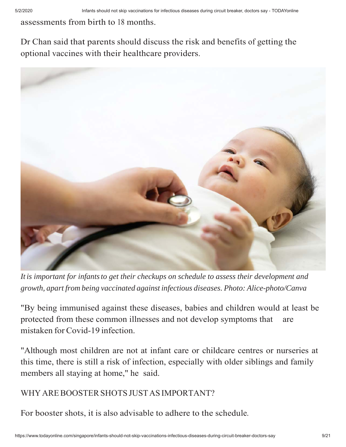assessments from birth to 18 months.

Dr Chan said that parents should discuss the risk and benefits of getting the optional vaccines with their healthcare providers.



*It is important for infants to get their checkups on schedule to assess their development and growth, apart from being vaccinated against infectious diseases. Photo: Alice-photo/Canva*

"By being immunised against these diseases, babies and children would at least be protected from these common illnesses and not develop symptoms that are mistaken for Covid-19 infection.

"Although most children are not at infant care or childcare centres or nurseries at this time, there is still a risk of infection, especially with older siblings and family members all staying at home," he said.

#### WHY ARE BOOSTER SHOTS JUST AS IMPORTANT?

For booster shots, it is also advisable to adhere to the schedule.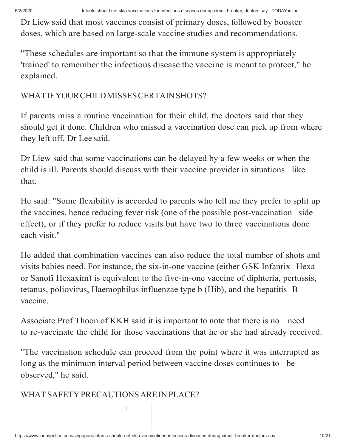5/2/2020 Infants should not skip vaccinations for infectious diseases during circuit breaker, doctors say - TODAYonline

Dr Liew said that most vaccines consist of primary doses, followed by booster doses, which are based on large-scale vaccine studies and recommendations.

"These schedules are important so that the immune system is appropriately 'trained' to remember the infectious disease the vaccine is meant to protect," he explained.

### WHAT IF YOUR CHILD MISSES CERTAIN SHOTS?

If parents miss a routine vaccination for their child, the doctors said that they should get it done. Children who missed a vaccination dose can pick up from where they left off, Dr Lee said.

Dr Liew said that some vaccinations can be delayed by a few weeks or when the child is ill. Parents should discuss with their vaccine provider in situations like that.

He said: "Some flexibility is accorded to parents who tell me they prefer to split up the vaccines, hence reducing fever risk (one of the possible post-vaccination side effect), or if they prefer to reduce visits but have two to three vaccinations done each visit."

He added that combination vaccines can also reduce the total number of shots and visits babies need. For instance, the six-in-one vaccine (either GSK Infanrix Hexa or Sanofi Hexaxim) is equivalent to the five-in-one vaccine of diphteria, pertussis, tetanus, poliovirus, Haemophilus influenzae type b (Hib), and the hepatitis B vaccine.

Associate Prof Thoon of KKH said it is important to note that there is no need to re-vaccinate the child for those vaccinations that he or she had already received.

"The vaccination schedule can proceed from the point where it was interrupted as long as the minimum interval period between vaccine doses continues to be observed," he said.

WHAT SAFETY PRECAUTIONS ARE IN PLACE?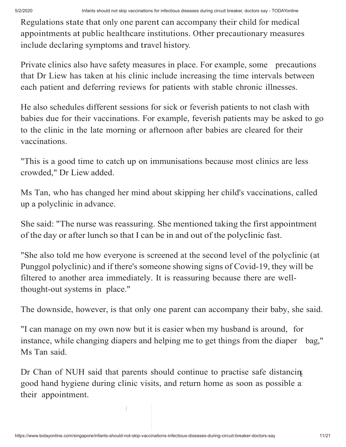Regulations state that only one parent can accompany their child for medical appointments at public healthcare institutions. Other precautionary measures include declaring symptoms and travel history.

Private clinics also have safety measures in place. For example, some precautions that Dr Liew has taken at his clinic include increasing the time intervals between each patient and deferring reviews for patients with stable chronic illnesses.

He also schedules different sessions for sick or feverish patients to not clash with babies due for their vaccinations. For example, feverish patients may be asked to go to the clinic in the late morning or afternoon after babies are cleared for their vaccinations.

"This is a good time to catch up on immunisations because most clinics are less crowded," Dr Liew added.

Ms Tan, who has changed her mind about skipping her child's vaccinations, called up a polyclinic in advance.

She said: "The nurse was reassuring. She mentioned taking the first appointment of the day or after lunch so that I can be in and out of the polyclinic fast.

"She also told me how everyone is screened at the second level of the polyclinic (at Punggol polyclinic) and if there's someone showing signs of Covid-19, they will be filtered to another area immediately. It is reassuring because there are wellthought-out systems in place."

The downside, however, is that only one parent can accompany their baby, she said.

"I can manage on my own now but it is easier when my husband is around, for instance, while changing diapers and helping me to get things from the diaper bag," Ms Tan said.

Dr Chan of NUH said that parents should continue to practise safe distancing good hand hygiene during clinic visits, and return home as soon as possible a their appointment.